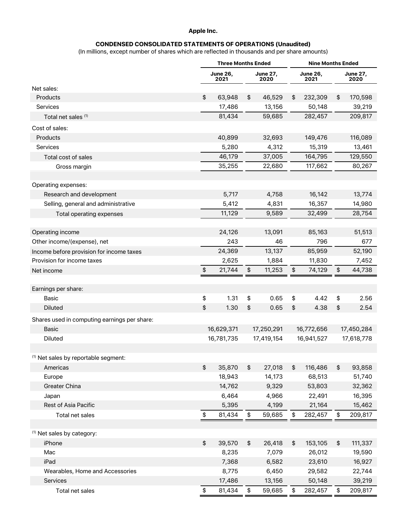#### **Apple Inc.**

### **CONDENSED CONSOLIDATED STATEMENTS OF OPERATIONS (Unaudited)**

(In millions, except number of shares which are reflected in thousands and per share amounts)

|                                                 | <b>Three Months Ended</b> |                         |            | <b>Nine Months Ended</b> |            |                         |            |                         |
|-------------------------------------------------|---------------------------|-------------------------|------------|--------------------------|------------|-------------------------|------------|-------------------------|
|                                                 |                           | <b>June 26,</b><br>2021 |            | June 27,<br>2020         |            | <b>June 26,</b><br>2021 |            | <b>June 27,</b><br>2020 |
| Net sales:                                      |                           |                         |            |                          |            |                         |            |                         |
| Products                                        | \$                        | 63,948                  | \$         | 46,529                   | \$         | 232,309                 | \$         | 170,598                 |
| <b>Services</b>                                 |                           | 17,486                  |            | 13,156                   |            | 50,148                  |            | 39,219                  |
| Total net sales (1)                             |                           | 81,434                  |            | 59,685                   |            | 282,457                 |            | 209,817                 |
| Cost of sales:                                  |                           |                         |            |                          |            |                         |            |                         |
| Products                                        |                           | 40,899                  |            | 32,693                   |            | 149,476                 |            | 116,089                 |
| <b>Services</b>                                 |                           | 5,280                   |            | 4,312                    |            | 15,319                  |            | 13,461                  |
| Total cost of sales                             |                           | 46,179                  |            | 37,005                   |            | 164,795                 |            | 129,550                 |
| Gross margin                                    |                           | 35,255                  |            | 22,680                   |            | 117,662                 |            | 80,267                  |
|                                                 |                           |                         |            |                          |            |                         |            |                         |
| Operating expenses:                             |                           |                         |            |                          |            |                         |            |                         |
| Research and development                        |                           | 5,717                   |            | 4,758                    |            | 16,142                  |            | 13,774                  |
| Selling, general and administrative             |                           | 5,412                   |            | 4,831                    |            | 16,357                  |            | 14,980                  |
| Total operating expenses                        |                           | 11,129                  |            | 9,589                    |            | 32,499                  |            | 28,754                  |
|                                                 |                           |                         |            |                          |            |                         |            |                         |
| Operating income                                |                           | 24,126                  |            | 13,091                   |            | 85,163                  |            | 51,513                  |
| Other income/(expense), net                     |                           | 243                     |            | 46                       |            | 796                     |            | 677                     |
| Income before provision for income taxes        |                           | 24,369                  |            | 13,137                   |            | 85,959                  |            | 52,190                  |
| Provision for income taxes                      |                           | 2,625                   |            | 1,884                    |            | 11,830                  |            | 7,452                   |
| Net income                                      | \$                        | 21,744                  | \$         | 11,253                   | \$         | 74,129                  | $\pmb{\$}$ | 44,738                  |
|                                                 |                           |                         |            |                          |            |                         |            |                         |
| Earnings per share:                             |                           |                         |            |                          |            |                         |            |                         |
| Basic                                           | \$                        | 1.31                    | \$         | 0.65                     | \$         | 4.42                    | \$         | 2.56                    |
| <b>Diluted</b>                                  | \$                        | 1.30                    | \$         | 0.65                     | \$         | 4.38                    | \$         | 2.54                    |
| Shares used in computing earnings per share:    |                           |                         |            |                          |            |                         |            |                         |
| Basic                                           |                           | 16,629,371              | 17,250,291 |                          | 16,772,656 |                         | 17,450,284 |                         |
| Diluted                                         | 16,781,735                |                         | 17,419,154 |                          | 16,941,527 |                         | 17,618,778 |                         |
|                                                 |                           |                         |            |                          |            |                         |            |                         |
| <sup>(1)</sup> Net sales by reportable segment: |                           |                         |            |                          |            |                         |            |                         |
| Americas                                        | \$                        | 35,870                  | \$         | 27,018                   | \$         | 116,486                 | \$         | 93,858                  |
| Europe                                          |                           | 18,943                  |            | 14,173                   |            | 68,513                  |            | 51,740                  |
| Greater China                                   |                           | 14,762                  |            | 9,329                    |            | 53,803                  |            | 32,362                  |
| Japan                                           |                           | 6,464                   |            | 4,966                    |            | 22,491                  |            | 16,395                  |
| Rest of Asia Pacific                            |                           | 5,395                   |            | 4,199                    |            | 21,164                  |            | 15,462                  |
| Total net sales                                 | \$                        | 81,434                  | \$         | 59,685                   | \$         | 282,457                 | \$         | 209,817                 |
|                                                 |                           |                         |            |                          |            |                         |            |                         |
| <sup>(1)</sup> Net sales by category:           |                           |                         |            |                          |            |                         |            |                         |
| iPhone                                          | \$                        | 39,570                  | \$         | 26,418                   | \$         | 153,105                 | \$         | 111,337                 |
| Mac                                             |                           | 8,235                   |            | 7,079                    |            | 26,012                  |            | 19,590                  |
| iPad                                            |                           | 7,368                   |            | 6,582                    |            | 23,610                  |            | 16,927                  |
| Wearables, Home and Accessories                 |                           | 8,775                   |            | 6,450                    |            | 29,582                  |            | 22,744                  |
| Services                                        |                           | 17,486                  |            | 13,156                   |            | 50,148                  |            | 39,219                  |
| Total net sales                                 | \$                        | 81,434                  | \$         | 59,685                   | \$         | 282,457                 | \$         | 209,817                 |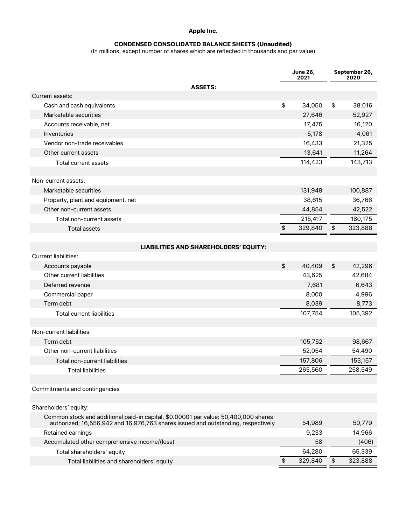## **Apple Inc.**

### **CONDENSED CONSOLIDATED BALANCE SHEETS (Unaudited)**

(In millions, except number of shares which are reflected in thousands and par value)

|                                                                                     |               | <b>June 26,</b><br>2021 | September 26,<br>2020 |
|-------------------------------------------------------------------------------------|---------------|-------------------------|-----------------------|
| <b>ASSETS:</b>                                                                      |               |                         |                       |
| Current assets:                                                                     |               |                         |                       |
| Cash and cash equivalents                                                           | \$            | 34,050                  | \$<br>38,016          |
| Marketable securities                                                               |               | 27,646                  | 52,927                |
| Accounts receivable, net                                                            |               | 17,475                  | 16,120                |
| Inventories                                                                         |               | 5,178                   | 4,061                 |
| Vendor non-trade receivables                                                        |               | 16,433                  | 21,325                |
| Other current assets                                                                |               | 13,641                  | 11,264                |
| <b>Total current assets</b>                                                         |               | 114,423                 | 143,713               |
|                                                                                     |               |                         |                       |
| Non-current assets:                                                                 |               |                         |                       |
| Marketable securities                                                               |               | 131,948                 | 100,887               |
| Property, plant and equipment, net                                                  |               | 38,615                  | 36,766                |
| Other non-current assets                                                            |               | 44,854                  | 42,522                |
| Total non-current assets                                                            |               | 215,417                 | 180,175               |
| <b>Total assets</b>                                                                 | \$            | 329,840                 | \$<br>323,888         |
|                                                                                     |               |                         |                       |
| <b>LIABILITIES AND SHAREHOLDERS' EQUITY:</b>                                        |               |                         |                       |
| <b>Current liabilities:</b>                                                         |               |                         |                       |
| Accounts payable                                                                    | \$            | 40,409                  | \$<br>42,296          |
| Other current liabilities                                                           |               | 43,625                  | 42,684                |
| Deferred revenue                                                                    |               | 7,681                   | 6,643                 |
| Commercial paper                                                                    |               | 8,000                   | 4,996                 |
| Term debt                                                                           |               | 8,039                   | 8,773                 |
| <b>Total current liabilities</b>                                                    |               | 107,754                 | 105,392               |
|                                                                                     |               |                         |                       |
| Non-current liabilities:                                                            |               |                         |                       |
| Term debt                                                                           |               | 105,752                 | 98,667                |
| Other non-current liabilities                                                       |               | 52,054                  | 54,490                |
| Total non-current liabilities                                                       |               | 157,806                 | 153,157               |
| <b>Total liabilities</b>                                                            |               | 265,560                 | 258,549               |
|                                                                                     |               |                         |                       |
| Commitments and contingencies                                                       |               |                         |                       |
| Shareholders' equity:                                                               |               |                         |                       |
| Common stock and additional paid-in capital, \$0.00001 par value: 50,400,000 shares |               |                         |                       |
| authorized; 16,556,942 and 16,976,763 shares issued and outstanding, respectively   |               | 54,989                  | 50,779                |
| Retained earnings                                                                   |               | 9,233                   | 14,966                |
| Accumulated other comprehensive income/(loss)                                       |               | 58                      | (406)                 |
| Total shareholders' equity                                                          |               | 64,280                  | 65,339                |
| Total liabilities and shareholders' equity                                          | $\frac{1}{2}$ | 329,840                 | \$<br>323,888         |